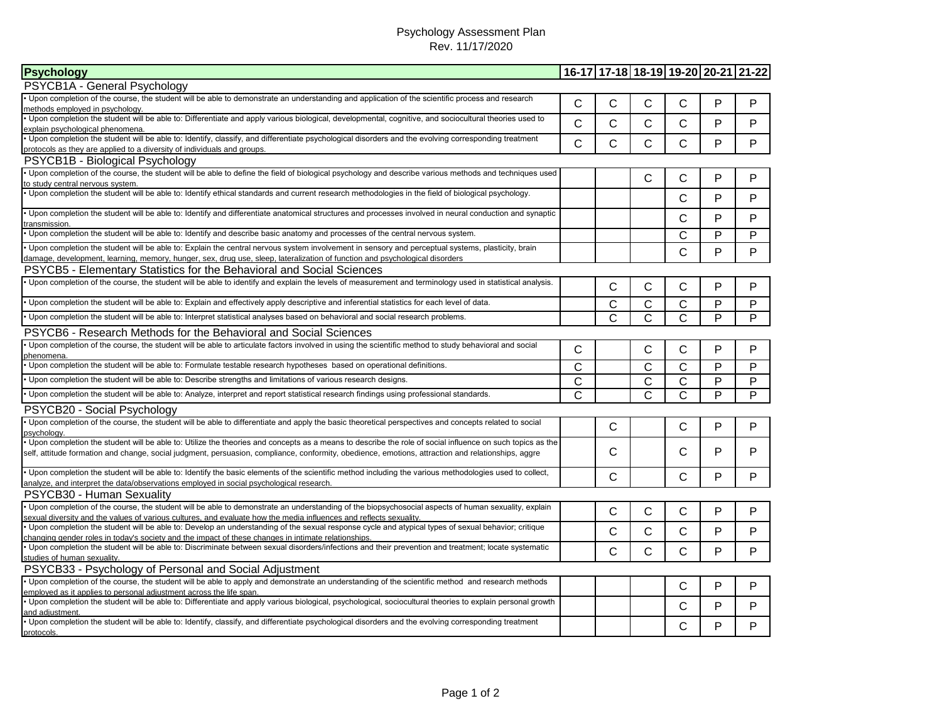## Psychology Assessment Plan Rev. 11/17/2020

| Psychology                                                                                                                                                                                                                                                  |              |   | 16-17 17-18 18-19 19-20 20-21 21-22 |                       |   |   |
|-------------------------------------------------------------------------------------------------------------------------------------------------------------------------------------------------------------------------------------------------------------|--------------|---|-------------------------------------|-----------------------|---|---|
| PSYCB1A - General Psychology                                                                                                                                                                                                                                |              |   |                                     |                       |   |   |
| . Upon completion of the course, the student will be able to demonstrate an understanding and application of the scientific process and research                                                                                                            | $\mathsf{C}$ | C | C                                   | C                     | P | P |
| methods employed in psychology.                                                                                                                                                                                                                             |              |   |                                     |                       |   |   |
| . Upon completion the student will be able to: Differentiate and apply various biological, developmental, cognitive, and sociocultural theories used to                                                                                                     | C            | Ċ | C                                   | Ċ                     | P | P |
| explain psychological phenomena.<br>. Upon completion the student will be able to: Identify, classify, and differentiate psychological disorders and the evolving corresponding treatment                                                                   |              |   |                                     |                       |   |   |
| protocols as they are applied to a diversity of individuals and groups.                                                                                                                                                                                     | C            | С | C                                   | C                     | P | P |
| PSYCB1B - Biological Psychology                                                                                                                                                                                                                             |              |   |                                     |                       |   |   |
| . Upon completion of the course, the student will be able to define the field of biological psychology and describe various methods and techniques used                                                                                                     |              |   |                                     |                       |   |   |
| to study central nervous system.                                                                                                                                                                                                                            |              |   | C                                   | C                     | P | P |
| Upon completion the student will be able to: Identify ethical standards and current research methodologies in the field of biological psychology.                                                                                                           |              |   |                                     | C                     | P | P |
| • Upon completion the student will be able to: Identify and differentiate anatomical structures and processes involved in neural conduction and synaptic                                                                                                    |              |   |                                     | C                     | P | P |
| transmission                                                                                                                                                                                                                                                |              |   |                                     |                       |   |   |
| • Upon completion the student will be able to: Identify and describe basic anatomy and processes of the central nervous system.                                                                                                                             |              |   |                                     | С                     | P | P |
| • Upon completion the student will be able to: Explain the central nervous system involvement in sensory and perceptual systems, plasticity, brain                                                                                                          |              |   |                                     | C                     | P | P |
| damage, development, learning, memory, hunger, sex, drug use, sleep, lateralization of function and psychological disorders                                                                                                                                 |              |   |                                     |                       |   |   |
| PSYCB5 - Elementary Statistics for the Behavioral and Social Sciences                                                                                                                                                                                       |              |   |                                     |                       |   |   |
| . Upon completion of the course, the student will be able to identify and explain the levels of measurement and terminology used in statistical analysis.                                                                                                   |              | C | C                                   | C                     | P | P |
| . Upon completion the student will be able to: Explain and effectively apply descriptive and inferential statistics for each level of data.                                                                                                                 |              | C | C                                   | C                     | P | P |
| • Upon completion the student will be able to: Interpret statistical analyses based on behavioral and social research problems.                                                                                                                             |              | С | C                                   | C                     | P | P |
| PSYCB6 - Research Methods for the Behavioral and Social Sciences                                                                                                                                                                                            |              |   |                                     |                       |   |   |
| . Upon completion of the course, the student will be able to articulate factors involved in using the scientific method to study behavioral and social                                                                                                      |              |   |                                     |                       | P |   |
| phenomena.                                                                                                                                                                                                                                                  | С            |   | C                                   | C                     |   | P |
| Upon completion the student will be able to: Formulate testable research hypotheses based on operational definitions.                                                                                                                                       | $\mathsf{C}$ |   | $\overline{C}$                      | $\overline{\text{c}}$ | P | P |
| Upon completion the student will be able to: Describe strengths and limitations of various research designs.                                                                                                                                                | C            |   | C                                   | C                     | P | P |
| Upon completion the student will be able to: Analyze, interpret and report statistical research findings using professional standards.                                                                                                                      | C            |   | C                                   | C                     | P | P |
| PSYCB20 - Social Psychology                                                                                                                                                                                                                                 |              |   |                                     |                       |   |   |
| Upon completion of the course, the student will be able to differentiate and apply the basic theoretical perspectives and concepts related to social                                                                                                        |              | C |                                     | C                     | P | P |
| psychology.                                                                                                                                                                                                                                                 |              |   |                                     |                       |   |   |
| Upon completion the student will be able to: Utilize the theories and concepts as a means to describe the role of social influence on such topics as the                                                                                                    |              | С |                                     | С                     | P | P |
| self, attitude formation and change, social judgment, persuasion, compliance, conformity, obedience, emotions, attraction and relationships, aggre                                                                                                          |              |   |                                     |                       |   |   |
| • Upon completion the student will be able to: Identify the basic elements of the scientific method including the various methodologies used to collect,                                                                                                    |              | C |                                     | $\mathsf{C}$          | P | P |
| analyze, and interpret the data/observations employed in social psychological research.                                                                                                                                                                     |              |   |                                     |                       |   |   |
| PSYCB30 - Human Sexuality                                                                                                                                                                                                                                   |              |   |                                     |                       |   |   |
| . Upon completion of the course, the student will be able to demonstrate an understanding of the biopsychosocial aspects of human sexuality, explain                                                                                                        |              | C | $\mathsf C$                         | $\mathsf{C}$          | P | P |
| sexual diversity and the values of various cultures, and evaluate how the media influences and reflects sexuality.                                                                                                                                          |              |   |                                     |                       |   |   |
| . Upon completion the student will be able to: Develop an understanding of the sexual response cycle and atypical types of sexual behavior; critique<br>changing gender roles in today's society and the impact of these changes in intimate relationships. |              | C | C                                   | C                     | P | P |
| . Upon completion the student will be able to: Discriminate between sexual disorders/infections and their prevention and treatment; locate systematic                                                                                                       |              | Ć | C                                   | $\mathsf{C}$          | P | P |
| studies of human sexuality.                                                                                                                                                                                                                                 |              |   |                                     |                       |   |   |
| PSYCB33 - Psychology of Personal and Social Adjustment                                                                                                                                                                                                      |              |   |                                     |                       |   |   |
| . Upon completion of the course, the student will be able to apply and demonstrate an understanding of the scientific method and research methods                                                                                                           |              |   |                                     | C                     | P | P |
| employed as it applies to personal adjustment across the life span.                                                                                                                                                                                         |              |   |                                     |                       |   |   |
| • Upon completion the student will be able to: Differentiate and apply various biological, psychological, sociocultural theories to explain personal growth                                                                                                 |              |   |                                     | C                     | P | P |
| and adjustment<br>Upon completion the student will be able to: Identify, classify, and differentiate psychological disorders and the evolving corresponding treatment                                                                                       |              |   |                                     |                       |   |   |
| protocols.                                                                                                                                                                                                                                                  |              |   |                                     | C                     | P | P |